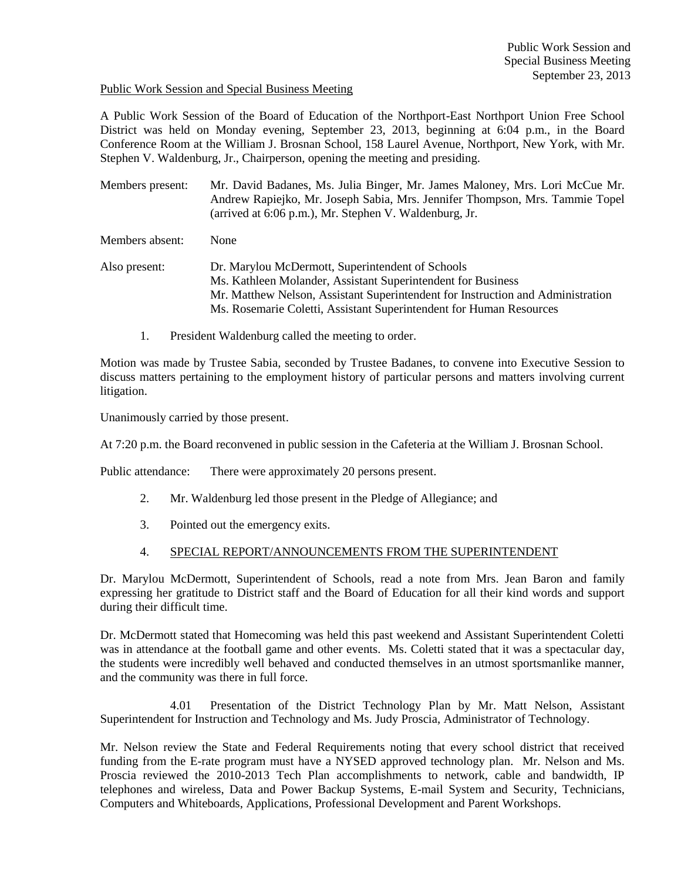## Public Work Session and Special Business Meeting

A Public Work Session of the Board of Education of the Northport-East Northport Union Free School District was held on Monday evening, September 23, 2013, beginning at 6:04 p.m., in the Board Conference Room at the William J. Brosnan School, 158 Laurel Avenue, Northport, New York, with Mr. Stephen V. Waldenburg, Jr., Chairperson, opening the meeting and presiding.

Members present: Mr. David Badanes, Ms. Julia Binger, Mr. James Maloney, Mrs. Lori McCue Mr. Andrew Rapiejko, Mr. Joseph Sabia, Mrs. Jennifer Thompson, Mrs. Tammie Topel (arrived at 6:06 p.m.), Mr. Stephen V. Waldenburg, Jr.

Members absent: None

- Also present: Dr. Marylou McDermott, Superintendent of Schools Ms. Kathleen Molander, Assistant Superintendent for Business Mr. Matthew Nelson, Assistant Superintendent for Instruction and Administration Ms. Rosemarie Coletti, Assistant Superintendent for Human Resources
	- 1. President Waldenburg called the meeting to order.

Motion was made by Trustee Sabia, seconded by Trustee Badanes, to convene into Executive Session to discuss matters pertaining to the employment history of particular persons and matters involving current litigation.

Unanimously carried by those present.

At 7:20 p.m. the Board reconvened in public session in the Cafeteria at the William J. Brosnan School.

Public attendance: There were approximately 20 persons present.

- 2. Mr. Waldenburg led those present in the Pledge of Allegiance; and
- 3. Pointed out the emergency exits.

## 4. SPECIAL REPORT/ANNOUNCEMENTS FROM THE SUPERINTENDENT

Dr. Marylou McDermott, Superintendent of Schools, read a note from Mrs. Jean Baron and family expressing her gratitude to District staff and the Board of Education for all their kind words and support during their difficult time.

Dr. McDermott stated that Homecoming was held this past weekend and Assistant Superintendent Coletti was in attendance at the football game and other events. Ms. Coletti stated that it was a spectacular day, the students were incredibly well behaved and conducted themselves in an utmost sportsmanlike manner, and the community was there in full force.

4.01 Presentation of the District Technology Plan by Mr. Matt Nelson, Assistant Superintendent for Instruction and Technology and Ms. Judy Proscia, Administrator of Technology.

Mr. Nelson review the State and Federal Requirements noting that every school district that received funding from the E-rate program must have a NYSED approved technology plan. Mr. Nelson and Ms. Proscia reviewed the 2010-2013 Tech Plan accomplishments to network, cable and bandwidth, IP telephones and wireless, Data and Power Backup Systems, E-mail System and Security, Technicians, Computers and Whiteboards, Applications, Professional Development and Parent Workshops.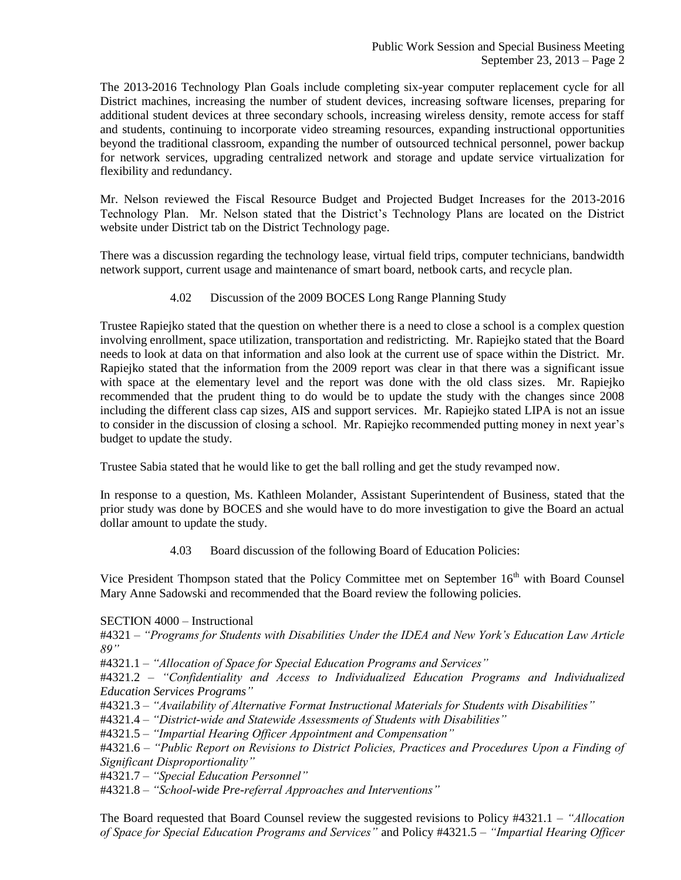The 2013-2016 Technology Plan Goals include completing six-year computer replacement cycle for all District machines, increasing the number of student devices, increasing software licenses, preparing for additional student devices at three secondary schools, increasing wireless density, remote access for staff and students, continuing to incorporate video streaming resources, expanding instructional opportunities beyond the traditional classroom, expanding the number of outsourced technical personnel, power backup for network services, upgrading centralized network and storage and update service virtualization for flexibility and redundancy.

Mr. Nelson reviewed the Fiscal Resource Budget and Projected Budget Increases for the 2013-2016 Technology Plan. Mr. Nelson stated that the District's Technology Plans are located on the District website under District tab on the District Technology page.

There was a discussion regarding the technology lease, virtual field trips, computer technicians, bandwidth network support, current usage and maintenance of smart board, netbook carts, and recycle plan.

4.02 Discussion of the 2009 BOCES Long Range Planning Study

Trustee Rapiejko stated that the question on whether there is a need to close a school is a complex question involving enrollment, space utilization, transportation and redistricting. Mr. Rapiejko stated that the Board needs to look at data on that information and also look at the current use of space within the District. Mr. Rapiejko stated that the information from the 2009 report was clear in that there was a significant issue with space at the elementary level and the report was done with the old class sizes. Mr. Rapiejko recommended that the prudent thing to do would be to update the study with the changes since 2008 including the different class cap sizes, AIS and support services. Mr. Rapiejko stated LIPA is not an issue to consider in the discussion of closing a school. Mr. Rapiejko recommended putting money in next year's budget to update the study.

Trustee Sabia stated that he would like to get the ball rolling and get the study revamped now.

In response to a question, Ms. Kathleen Molander, Assistant Superintendent of Business, stated that the prior study was done by BOCES and she would have to do more investigation to give the Board an actual dollar amount to update the study.

4.03 Board discussion of the following Board of Education Policies:

Vice President Thompson stated that the Policy Committee met on September 16<sup>th</sup> with Board Counsel Mary Anne Sadowski and recommended that the Board review the following policies.

SECTION 4000 – Instructional

#4321 – *"Programs for Students with Disabilities Under the IDEA and New York's Education Law Article 89"*

#4321.1 – *"Allocation of Space for Special Education Programs and Services"*

#4321.2 – *"Confidentiality and Access to Individualized Education Programs and Individualized Education Services Programs"*

#4321.3 – *"Availability of Alternative Format Instructional Materials for Students with Disabilities"*

#4321.4 – *"District-wide and Statewide Assessments of Students with Disabilities"*

#4321.5 – *"Impartial Hearing Officer Appointment and Compensation"*

#4321.6 – *"Public Report on Revisions to District Policies, Practices and Procedures Upon a Finding of Significant Disproportionality"*

#4321.7 – *"Special Education Personnel"*

#4321.8 – *"School-wide Pre-referral Approaches and Interventions"*

The Board requested that Board Counsel review the suggested revisions to Policy #4321.1 – *"Allocation of Space for Special Education Programs and Services"* and Policy #4321.5 – *"Impartial Hearing Officer*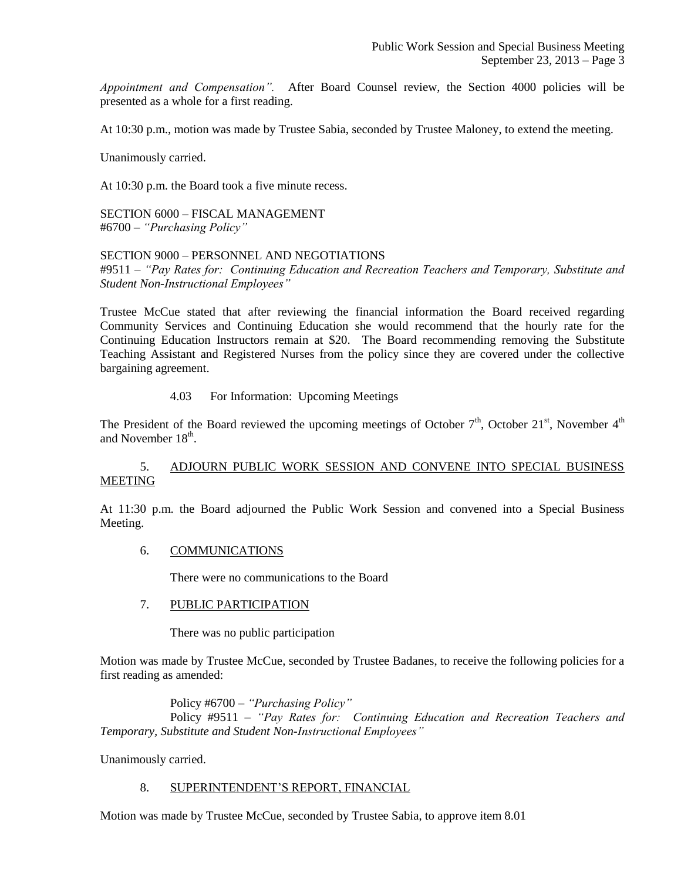*Appointment and Compensation".* After Board Counsel review, the Section 4000 policies will be presented as a whole for a first reading.

At 10:30 p.m., motion was made by Trustee Sabia, seconded by Trustee Maloney, to extend the meeting.

Unanimously carried.

At 10:30 p.m. the Board took a five minute recess.

SECTION 6000 – FISCAL MANAGEMENT #6700 – *"Purchasing Policy"*

## SECTION 9000 – PERSONNEL AND NEGOTIATIONS

#9511 – *"Pay Rates for: Continuing Education and Recreation Teachers and Temporary, Substitute and Student Non-Instructional Employees"*

Trustee McCue stated that after reviewing the financial information the Board received regarding Community Services and Continuing Education she would recommend that the hourly rate for the Continuing Education Instructors remain at \$20. The Board recommending removing the Substitute Teaching Assistant and Registered Nurses from the policy since they are covered under the collective bargaining agreement.

## 4.03 For Information: Upcoming Meetings

The President of the Board reviewed the upcoming meetings of October  $7<sup>th</sup>$ , October  $21<sup>st</sup>$ , November  $4<sup>th</sup>$ and November  $18<sup>th</sup>$ .

## 5. ADJOURN PUBLIC WORK SESSION AND CONVENE INTO SPECIAL BUSINESS MEETING

At 11:30 p.m. the Board adjourned the Public Work Session and convened into a Special Business Meeting.

### 6. COMMUNICATIONS

There were no communications to the Board

### 7. PUBLIC PARTICIPATION

There was no public participation

Motion was made by Trustee McCue, seconded by Trustee Badanes, to receive the following policies for a first reading as amended:

Policy #6700 – *"Purchasing Policy"* Policy #9511 – *"Pay Rates for: Continuing Education and Recreation Teachers and Temporary, Substitute and Student Non-Instructional Employees"*

Unanimously carried.

#### 8. SUPERINTENDENT'S REPORT, FINANCIAL

Motion was made by Trustee McCue, seconded by Trustee Sabia, to approve item 8.01